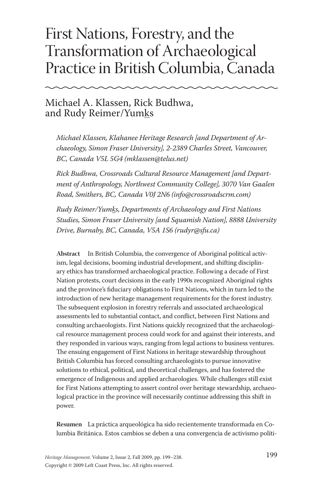# First Nations, Forestry, and the Transformation of Archaeological Practice in British Columbia, Canada

# Michael A. Klassen, Rick Budhwa, and Rudy Reimer/Yumks

Michael Klassen, Klahanee Heritage Research [and Department of Archaeology, Simon Fraser University], 2-2389 Charles Street, Vancouver, BC, Canada V5L 5G4 (mklassen@telus.net)

Rick Budhwa, Crossroads Cultural Resource Management [and Department of Anthropology, Northwest Community College], 3070 Van Gaalen Road, Smithers, BC, Canada V0J 2N6 (info@crossroadscrm.com)

Rudy Reimer/Yumks, Departments of Archaeology and First Nations Studies, Simon Fraser University [and Squamish Nation], 8888 University Drive, Burnaby, BC, Canada, V5A 1S6 (rudyr@sfu.ca)

**Abstract** In British Columbia, the convergence of Aboriginal political activism, legal decisions, booming industrial development, and shifting disciplinary ethics has transformed archaeological practice. Following a decade of First Nation protests, court decisions in the early 1990s recognized Aboriginal rights and the province's fiduciary obligations to First Nations, which in turn led to the introduction of new heritage management requirements for the forest industry. The subsequent explosion in forestry referrals and associated archaeological assessments led to substantial contact, and conflict, between First Nations and consulting archaeologists. First Nations quickly recognized that the archaeological resource management process could work for and against their interests, and they responded in various ways, ranging from legal actions to business ventures. The ensuing engagement of First Nations in heritage stewardship throughout British Columbia has forced consulting archaeologists to pursue innovative solutions to ethical, political, and theoretical challenges, and has fostered the emergence of Indigenous and applied archaeologies. While challenges still exist for First Nations attempting to assert control over heritage stewardship, archaeological practice in the province will necessarily continue addressing this shift in power.

**Resumen** La práctica arqueológica ha sido recientemente transformada en Columbia Británica. Estos cambios se deben a una convergencia de activismo políti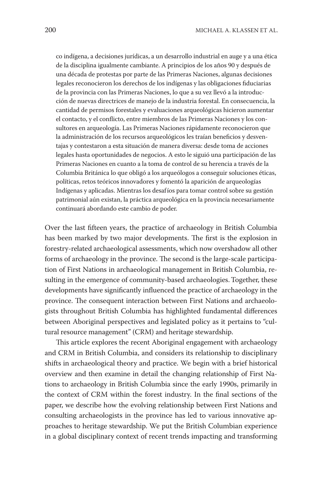co indígena, a decisiones jurídicas, a un desarrollo industrial en auge y a una ética de la disciplina igualmente cambiante. A principios de los años 90 y después de una década de protestas por parte de las Primeras Naciones, algunas decisiones legales reconocieron los derechos de los indígenas y las obligaciones fiduciarias de la provincia con las Primeras Naciones, lo que a su vez llevó a la introducción de nuevas directrices de manejo de la industria forestal. En consecuencia, la cantidad de permisos forestales y evaluaciones arqueológicas hicieron aumentar el contacto, y el conflicto, entre miembros de las Primeras Naciones y los consultores en arqueología. Las Primeras Naciones rápidamente reconocieron que la administración de los recursos arqueológicos les traían beneficios y desventajas y contestaron a esta situación de manera diversa: desde toma de acciones legales hasta oportunidades de negocios. A esto le siguió una participación de las Primeras Naciones en cuanto a la toma de control de su herencia a través de la Columbia Británica lo que obligó a los arqueólogos a conseguir soluciones éticas, políticas, retos teóricos innovadores y fomentó la aparición de arqueologías Indígenas y aplicadas. Mientras los desafíos para tomar control sobre su gestión patrimonial aún existan, la práctica arqueológica en la provincia necesariamente continuará abordando este cambio de poder.

Over the last fifteen years, the practice of archaeology in British Columbia has been marked by two major developments. The first is the explosion in forestry-related archaeological assessments, which now overshadow all other forms of archaeology in the province. The second is the large-scale participation of First Nations in archaeological management in British Columbia, resulting in the emergence of community-based archaeologies.Together, these developments have significantly influenced the practice of archaeology in the province. The consequent interaction between First Nations and archaeologists throughout British Columbia has highlighted fundamental differences between Aboriginal perspectives and legislated policy as it pertains to "cultural resource management" (CRM) and heritage stewardship.

This article explores the recent Aboriginal engagement with archaeology and CRM in British Columbia, and considers its relationship to disciplinary shifts in archaeological theory and practice. We begin with a brief historical overview and then examine in detail the changing relationship of First Nations to archaeology in British Columbia since the early 1990s, primarily in the context of CRM within the forest industry. In the final sections of the paper, we describe how the evolving relationship between First Nations and consulting archaeologists in the province has led to various innovative approaches to heritage stewardship. We put the British Columbian experience in a global disciplinary context of recent trends impacting and transforming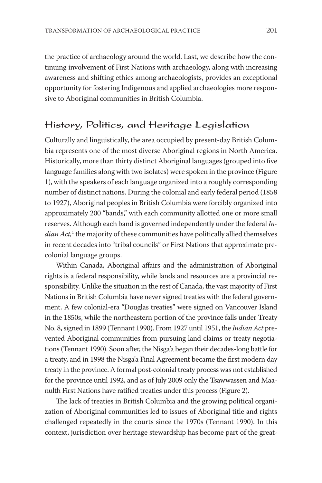the practice of archaeology around the world. Last, we describe how the continuing involvement of First Nations with archaeology, along with increasing awareness and shifting ethics among archaeologists, provides an exceptional opportunity for fostering Indigenous and applied archaeologies more responsive to Aboriginal communities in British Columbia.

# **History, Politics, and Heritage Legislation**

Culturally and linguistically, the area occupied by present-day British Columbia represents one of the most diverse Aboriginal regions in North America. Historically, more than thirty distinct Aboriginal languages (grouped into five language families along with two isolates) were spoken in the province (Figure 1), with the speakers of each language organized into a roughly corresponding number of distinct nations. During the colonial and early federal period (1858 to 1927), Aboriginal peoples in British Columbia were forcibly organized into approximately 200 "bands," with each community allotted one or more small reserves. Although each band is governed independently under the federal Indian Act,<sup>1</sup> the majority of these communities have politically allied themselves in recent decades into "tribal councils" or First Nations that approximate precolonial language groups.

Within Canada, Aboriginal affairs and the administration of Aboriginal rights is a federal responsibility, while lands and resources are a provincial responsibility. Unlike the situation in the rest of Canada, the vast majority of First Nations in British Columbia have never signed treaties with the federal government. A few colonial-era "Douglas treaties" were signed on Vancouver Island in the 1850s, while the northeastern portion of the province falls under Treaty No. 8, signed in 1899 (Tennant 1990). From 1927 until 1951, the Indian Act prevented Aboriginal communities from pursuing land claims or treaty negotiations (Tennant 1990). Soon after, the Nisga'a began their decades-long battle for a treaty, and in 1998 the Nisga'a Final Agreement became the first modern day treaty in the province. A formal post-colonial treaty process was not established for the province until 1992, and as of July 2009 only the Tsawwassen and Maanulth First Nations have ratified treaties under this process (Figure 2).

The lack of treaties in British Columbia and the growing political organization of Aboriginal communities led to issues of Aboriginal title and rights challenged repeatedly in the courts since the 1970s (Tennant 1990). In this context, jurisdiction over heritage stewardship has become part of the great-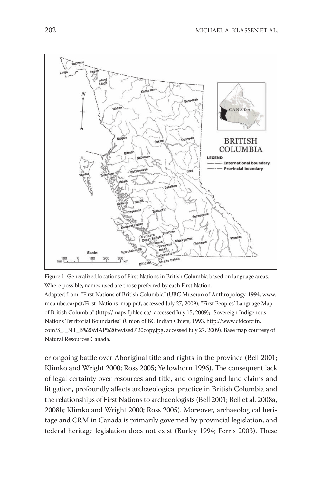

Figure 1. Generalized locations of First Nations in British Columbia based on language areas. Where possible, names used are those preferred by each First Nation. Adapted from: "First Nations of British Columbia" (UBC Museum of Anthropology, 1994, www. moa.ubc.ca/pdf/First\_Nations\_map.pdf, accessed July 27, 2009); "First Peoples' Language Map of British Columbia" (http://maps.fphlcc.ca/, accessed July 15, 2009); "Sovereign Indigenous Nations Territorial Boundaries" (Union of BC Indian Chiefs, 1993, http://www.cfdcofcifn. com/S\_I\_NT\_B%20MAP%20revised%20copy.jpg, accessed July 27, 2009). Base map courtesy of Natural Resources Canada.

er ongoing battle over Aboriginal title and rights in the province (Bell 2001; Klimko and Wright 2000; Ross 2005; Yellowhorn 1996). The consequent lack of legal certainty over resources and title, and ongoing and land claims and litigation, profoundly affects archaeological practice in British Columbia and the relationships of First Nations to archaeologists (Bell 2001; Bell et al. 2008a, 2008b; Klimko and Wright 2000; Ross 2005). Moreover, archaeological heritage and CRM in Canada is primarily governed by provincial legislation, and federal heritage legislation does not exist (Burley 1994; Ferris 2003). These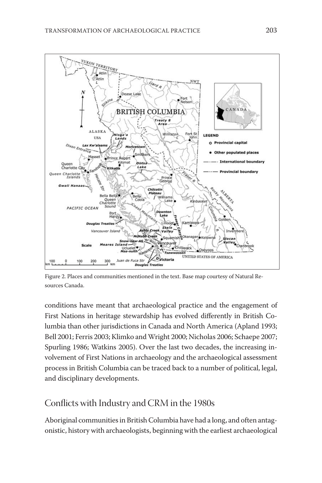

Figure 2. Places and communities mentioned in the text. Base map courtesy of Natural Resources Canada.

conditions have meant that archaeological practice and the engagement of First Nations in heritage stewardship has evolved differently in British Columbia than other jurisdictions in Canada and North America (Apland 1993; Bell 2001; Ferris 2003; Klimko and Wright 2000; Nicholas 2006; Schaepe 2007; Spurling 1986; Watkins 2005). Over the last two decades, the increasing involvement of First Nations in archaeology and the archaeological assessment process in British Columbia can be traced back to a number of political, legal, and disciplinary developments.

# Conflicts with Industry and CRM in the 1980s

Aboriginal communities in British Columbia have had a long, and often antagonistic, history with archaeologists, beginning with the earliest archaeological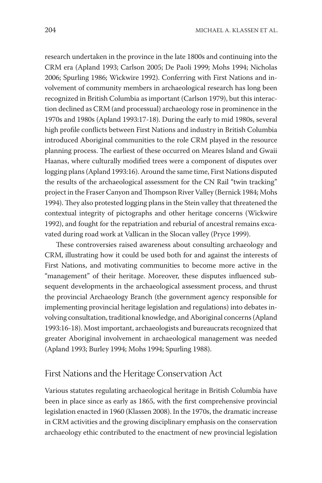research undertaken in the province in the late 1800s and continuing into the CRM era (Apland 1993; Carlson 2005; De Paoli 1999; Mohs 1994; Nicholas 2006; Spurling 1986; Wickwire 1992). Conferring with First Nations and involvement of community members in archaeological research has long been recognized in British Columbia as important (Carlson 1979), but this interaction declined as CRM (and processual) archaeology rose in prominence in the 1970s and 1980s (Apland 1993:17-18). During the early to mid 1980s, several high profile conflicts between First Nations and industry in British Columbia introduced Aboriginal communities to the role CRM played in the resource planning process. The earliest of these occurred on Meares Island and Gwaii Haanas, where culturally modified trees were a component of disputes over logging plans (Apland 1993:16). Around the same time, First Nations disputed the results of the archaeological assessment for the CN Rail "twin tracking" project in the Fraser Canyon and Thompson River Valley (Bernick 1984; Mohs 1994). They also protested logging plans in the Stein valley that threatened the contextual integrity of pictographs and other heritage concerns (Wickwire 1992), and fought for the repatriation and reburial of ancestral remains excavated during road work at Vallican in the Slocan valley (Pryce 1999).

These controversies raised awareness about consulting archaeology and CRM, illustrating how it could be used both for and against the interests of First Nations, and motivating communities to become more active in the "management" of their heritage. Moreover, these disputes influenced subsequent developments in the archaeological assessment process, and thrust the provincial Archaeology Branch (the government agency responsible for implementing provincial heritage legislation and regulations) into debates involving consultation, traditional knowledge, and Aboriginal concerns (Apland 1993:16-18). Most important, archaeologists and bureaucrats recognized that greater Aboriginal involvement in archaeological management was needed (Apland 1993; Burley 1994; Mohs 1994; Spurling 1988).

### First Nations and the Heritage Conservation Act

Various statutes regulating archaeological heritage in British Columbia have been in place since as early as 1865, with the first comprehensive provincial legislation enacted in 1960 (Klassen 2008). In the 1970s, the dramatic increase in CRM activities and the growing disciplinary emphasis on the conservation archaeology ethic contributed to the enactment of new provincial legislation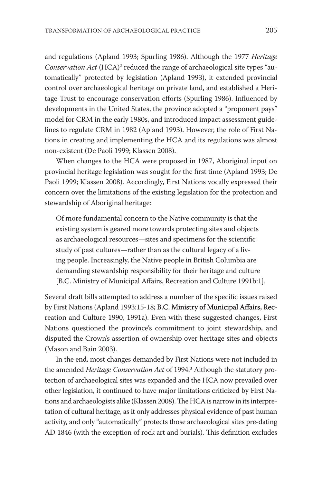and regulations (Apland 1993; Spurling 1986). Although the 1977 Heritage Conservation Act (HCA)<sup>2</sup> reduced the range of archaeological site types "automatically" protected by legislation (Apland 1993), it extended provincial control over archaeological heritage on private land, and established a Heritage Trust to encourage conservation efforts (Spurling 1986). Influenced by developments in the United States, the province adopted a "proponent pays" model for CRM in the early 1980s, and introduced impact assessment guidelines to regulate CRM in 1982 (Apland 1993). However, the role of First Nations in creating and implementing the HCA and its regulations was almost non-existent (De Paoli 1999; Klassen 2008).

When changes to the HCA were proposed in 1987, Aboriginal input on provincial heritage legislation was sought for the first time (Apland 1993; De Paoli 1999; Klassen 2008). Accordingly, First Nations vocally expressed their concern over the limitations of the existing legislation for the protection and stewardship of Aboriginal heritage:

Of more fundamental concern to the Native community is that the existing system is geared more towards protecting sites and objects as archaeological resources—sites and specimens for the scientific study of past cultures—rather than as the cultural legacy of a living people. Increasingly, the Native people in British Columbia are demanding stewardship responsibility for their heritage and culture [B.C. Ministry of Municipal Affairs, Recreation and Culture 1991b:1].

Several draft bills attempted to address a number of the specific issues raised by First Nations (Apland 1993:15-18; B.C. Ministry of Municipal Affairs, Recreation and Culture 1990, 1991a). Even with these suggested changes, First Nations questioned the province's commitment to joint stewardship, and disputed the Crown's assertion of ownership over heritage sites and objects (Mason and Bain 2003).

In the end, most changes demanded by First Nations were not included in the amended *Heritage Conservation Act* of 1994.<sup>3</sup> Although the statutory protection of archaeological sites was expanded and the HCA now prevailed over other legislation, it continued to have major limitations criticized by First Nations and archaeologists alike (Klassen 2008). The HCA is narrow in its interpretation of cultural heritage, as it only addresses physical evidence of past human activity, and only "automatically" protects those archaeological sites pre-dating AD 1846 (with the exception of rock art and burials). This definition excludes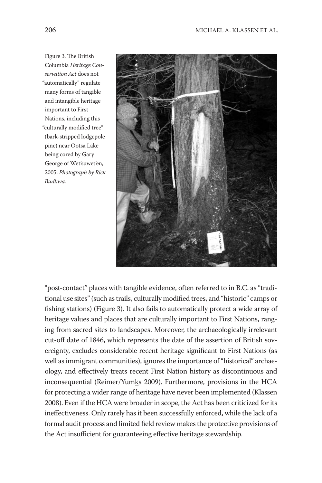Figure 3. The British Columbia Heritage Conservation Act does not "automatically" regulate many forms of tangible and intangible heritage important to First Nations, including this "culturally modified tree" (bark-stripped lodgepole pine) near Ootsa Lake being cored by Gary George of Wet'suwet'en, 2005. Photograph by Rick Budhwa.



"post-contact" places with tangible evidence, often referred to in B.C. as "traditional use sites" (such as trails, culturally modified trees, and "historic" camps or fishing stations) (Figure 3). It also fails to automatically protect a wide array of heritage values and places that are culturally important to First Nations, ranging from sacred sites to landscapes. Moreover, the archaeologically irrelevant cut-off date of 1846, which represents the date of the assertion of British sovereignty, excludes considerable recent heritage significant to First Nations (as well as immigrant communities), ignores the importance of "historical" archaeology, and effectively treats recent First Nation history as discontinuous and inconsequential (Reimer/Yumks 2009). Furthermore, provisions in the HCA for protecting a wider range of heritage have never been implemented (Klassen 2008). Even if the HCA were broader in scope, the Act has been criticized for its ineffectiveness. Only rarely has it been successfully enforced, while the lack of a formal audit process and limited field review makes the protective provisions of the Act insufficient for guaranteeing effective heritage stewardship.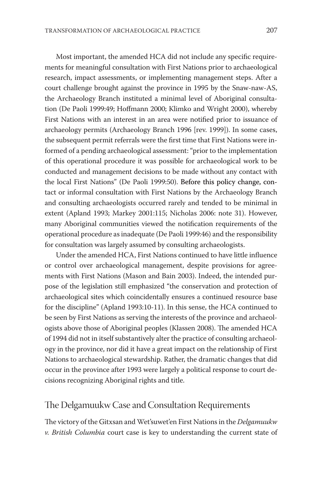Most important, the amended HCA did not include any specific requirements for meaningful consultation with First Nations prior to archaeological research, impact assessments, or implementing management steps. After a court challenge brought against the province in 1995 by the Snaw-naw-AS, the Archaeology Branch instituted a minimal level of Aboriginal consultation (De Paoli 1999:49; Hoffmann 2000; Klimko and Wright 2000), whereby First Nations with an interest in an area were notified prior to issuance of archaeology permits (Archaeology Branch 1996 [rev. 1999]). In some cases, the subsequent permit referrals were the first time that First Nations were informed of a pending archaeological assessment: "prior to the implementation of this operational procedure it was possible for archaeological work to be conducted and management decisions to be made without any contact with the local First Nations" (De Paoli 1999:50). Before this policy change, contact or informal consultation with First Nations by the Archaeology Branch and consulting archaeologists occurred rarely and tended to be minimal in extent (Apland 1993; Markey 2001:115; Nicholas 2006: note 31). However, many Aboriginal communities viewed the notification requirements of the operational procedure as inadequate (De Paoli 1999:46) and the responsibility for consultation was largely assumed by consulting archaeologists.

Under the amended HCA, First Nations continued to have little influence or control over archaeological management, despite provisions for agreements with First Nations (Mason and Bain 2003). Indeed, the intended purpose of the legislation still emphasized "the conservation and protection of archaeological sites which coincidentally ensures a continued resource base for the discipline" (Apland 1993:10-11). In this sense, the HCA continued to be seen by First Nations as serving the interests of the province and archaeologists above those of Aboriginal peoples (Klassen 2008). The amended HCA of 1994 did not in itself substantively alter the practice of consulting archaeology in the province, nor did it have a great impact on the relationship of First Nations to archaeological stewardship. Rather, the dramatic changes that did occur in the province after 1993 were largely a political response to court decisions recognizing Aboriginal rights and title.

### The Delgamuukw Case and Consultation Requirements

The victory of the Gitxsan and Wet'suwet'en First Nations in the Delgamuukw v. British Columbia court case is key to understanding the current state of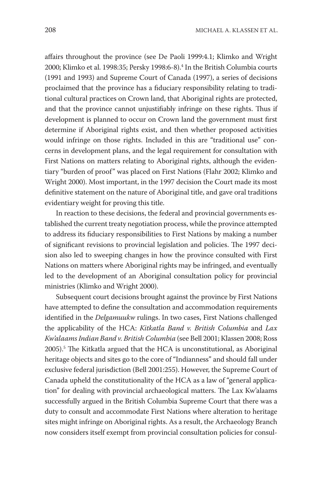affairs throughout the province (see De Paoli 1999:4.1; Klimko and Wright 2000; Klimko et al. 1998:35; Persky 1998:6-8).<sup>4</sup> In the British Columbia courts (1991 and 1993) and Supreme Court of Canada (1997), a series of decisions proclaimed that the province has a fiduciary responsibility relating to traditional cultural practices on Crown land, that Aboriginal rights are protected, and that the province cannot unjustifiably infringe on these rights. Thus if development is planned to occur on Crown land the government must first determine if Aboriginal rights exist, and then whether proposed activities would infringe on those rights. Included in this are "traditional use" concerns in development plans, and the legal requirement for consultation with First Nations on matters relating to Aboriginal rights, although the evidentiary "burden of proof" was placed on First Nations (Flahr 2002; Klimko and Wright 2000). Most important, in the 1997 decision the Court made its most definitive statement on the nature of Aboriginal title, and gave oral traditions evidentiary weight for proving this title.

In reaction to these decisions, the federal and provincial governments established the current treaty negotiation process, while the province attempted to address its fiduciary responsibilities to First Nations by making a number of significant revisions to provincial legislation and policies. The 1997 decision also led to sweeping changes in how the province consulted with First Nations on matters where Aboriginal rights may be infringed, and eventually led to the development of an Aboriginal consultation policy for provincial ministries (Klimko and Wright 2000).

 Subsequent court decisions brought against the province by First Nations have attempted to define the consultation and accommodation requirements identified in the Delgamuukw rulings. In two cases, First Nations challenged the applicability of the HCA: Kitkatla Band v. British Columbia and Lax Kw'alaams Indian Band v. British Columbia (see Bell 2001; Klassen 2008; Ross 2005).<sup>5</sup> The Kitkatla argued that the HCA is unconstitutional, as Aboriginal heritage objects and sites go to the core of "Indianness" and should fall under exclusive federal jurisdiction (Bell 2001:255). However, the Supreme Court of Canada upheld the constitutionality of the HCA as a law of "general application" for dealing with provincial archaeological matters. The Lax Kw'alaams successfully argued in the British Columbia Supreme Court that there was a duty to consult and accommodate First Nations where alteration to heritage sites might infringe on Aboriginal rights. As a result, the Archaeology Branch now considers itself exempt from provincial consultation policies for consul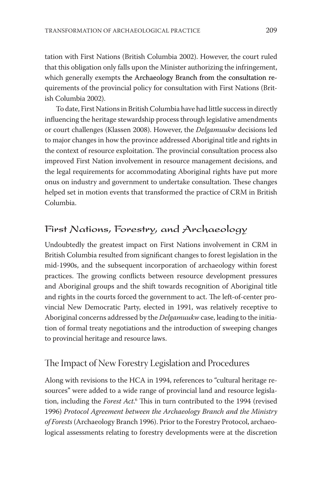tation with First Nations (British Columbia 2002). However, the court ruled that this obligation only falls upon the Minister authorizing the infringement, which generally exempts the Archaeology Branch from the consultation requirements of the provincial policy for consultation with First Nations (British Columbia 2002).

To date, First Nations in British Columbia have had little success in directly influencing the heritage stewardship process through legislative amendments or court challenges (Klassen 2008). However, the Delgamuukw decisions led to major changes in how the province addressed Aboriginal title and rights in the context of resource exploitation. The provincial consultation process also improved First Nation involvement in resource management decisions, and the legal requirements for accommodating Aboriginal rights have put more onus on industry and government to undertake consultation. These changes helped set in motion events that transformed the practice of CRM in British Columbia.

# **First Nations, Forestry, and Archaeology**

Undoubtedly the greatest impact on First Nations involvement in CRM in British Columbia resulted from significant changes to forest legislation in the mid-1990s, and the subsequent incorporation of archaeology within forest practices. The growing conflicts between resource development pressures and Aboriginal groups and the shift towards recognition of Aboriginal title and rights in the courts forced the government to act. The left-of-center provincial New Democratic Party, elected in 1991, was relatively receptive to Aboriginal concerns addressed by the *Delgamuukw* case, leading to the initiation of formal treaty negotiations and the introduction of sweeping changes to provincial heritage and resource laws.

### The Impact of New Forestry Legislation and Procedures

Along with revisions to the HCA in 1994, references to "cultural heritage resources" were added to a wide range of provincial land and resource legislation, including the *Forest Act*.<sup>6</sup> This in turn contributed to the 1994 (revised 1996) Protocol Agreement between the Archaeology Branch and the Ministry of Forests (Archaeology Branch 1996). Prior to the Forestry Protocol, archaeological assessments relating to forestry developments were at the discretion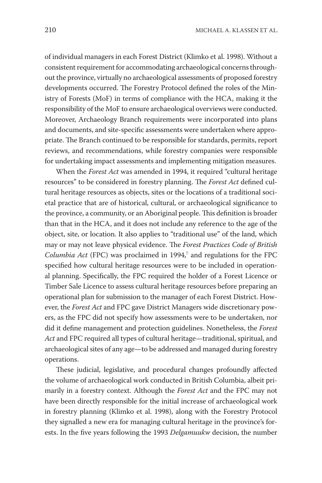of individual managers in each Forest District (Klimko et al. 1998). Without a consistent requirement for accommodating archaeological concerns throughout the province, virtually no archaeological assessments of proposed forestry developments occurred. The Forestry Protocol defined the roles of the Ministry of Forests (MoF) in terms of compliance with the HCA, making it the responsibility of the MoF to ensure archaeological overviews were conducted. Moreover, Archaeology Branch requirements were incorporated into plans and documents, and site-specific assessments were undertaken where appropriate. The Branch continued to be responsible for standards, permits, report reviews, and recommendations, while forestry companies were responsible for undertaking impact assessments and implementing mitigation measures.

When the Forest Act was amended in 1994, it required "cultural heritage resources" to be considered in forestry planning. The Forest Act defined cultural heritage resources as objects, sites or the locations of a traditional societal practice that are of historical, cultural, or archaeological significance to the province, a community, or an Aboriginal people. This definition is broader than that in the HCA, and it does not include any reference to the age of the object, site, or location. It also applies to "traditional use" of the land, which may or may not leave physical evidence. The Forest Practices Code of British *Columbia Act* (FPC) was proclaimed in  $1994$ ,<sup>7</sup> and regulations for the FPC specified how cultural heritage resources were to be included in operational planning. Specifically, the FPC required the holder of a Forest Licence or Timber Sale Licence to assess cultural heritage resources before preparing an operational plan for submission to the manager of each Forest District. However, the Forest Act and FPC gave District Managers wide discretionary powers, as the FPC did not specify how assessments were to be undertaken, nor did it define management and protection guidelines. Nonetheless, the Forest Act and FPC required all types of cultural heritage—traditional, spiritual, and archaeological sites of any age—to be addressed and managed during forestry operations.

These judicial, legislative, and procedural changes profoundly affected the volume of archaeological work conducted in British Columbia, albeit primarily in a forestry context. Although the Forest Act and the FPC may not have been directly responsible for the initial increase of archaeological work in forestry planning (Klimko et al. 1998), along with the Forestry Protocol they signalled a new era for managing cultural heritage in the province's forests. In the five years following the 1993 Delgamuukw decision, the number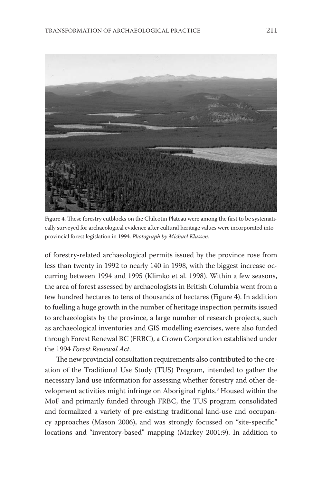

Figure 4. These forestry cutblocks on the Chilcotin Plateau were among the first to be systematically surveyed for archaeological evidence after cultural heritage values were incorporated into provincial forest legislation in 1994. Photograph by Michael Klassen.

of forestry-related archaeological permits issued by the province rose from less than twenty in 1992 to nearly 140 in 1998, with the biggest increase occurring between 1994 and 1995 (Klimko et al. 1998). Within a few seasons, the area of forest assessed by archaeologists in British Columbia went from a few hundred hectares to tens of thousands of hectares (Figure 4). In addition to fuelling a huge growth in the number of heritage inspection permits issued to archaeologists by the province, a large number of research projects, such as archaeological inventories and GIS modelling exercises, were also funded through Forest Renewal BC (FRBC), a Crown Corporation established under the 1994 Forest Renewal Act.

The new provincial consultation requirements also contributed to the creation of the Traditional Use Study (TUS) Program, intended to gather the necessary land use information for assessing whether forestry and other development activities might infringe on Aboriginal rights.<sup>8</sup> Housed within the MoF and primarily funded through FRBC, the TUS program consolidated and formalized a variety of pre-existing traditional land-use and occupancy approaches (Mason 2006), and was strongly focussed on "site-specific" locations and "inventory-based" mapping (Markey 2001:9). In addition to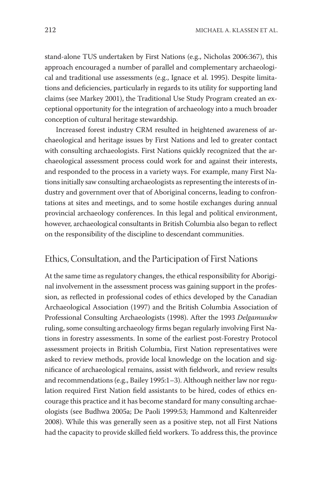stand-alone TUS undertaken by First Nations (e.g., Nicholas 2006:367), this approach encouraged a number of parallel and complementary archaeological and traditional use assessments (e.g., Ignace et al. 1995). Despite limitations and deficiencies, particularly in regards to its utility for supporting land claims (see Markey 2001), the Traditional Use Study Program created an exceptional opportunity for the integration of archaeology into a much broader conception of cultural heritage stewardship.

Increased forest industry CRM resulted in heightened awareness of archaeological and heritage issues by First Nations and led to greater contact with consulting archaeologists. First Nations quickly recognized that the archaeological assessment process could work for and against their interests, and responded to the process in a variety ways. For example, many First Nations initially saw consulting archaeologists as representing the interests of industry and government over that of Aboriginal concerns, leading to confrontations at sites and meetings, and to some hostile exchanges during annual provincial archaeology conferences. In this legal and political environment, however, archaeological consultants in British Columbia also began to reflect on the responsibility of the discipline to descendant communities.

### Ethics, Consultation, and the Participation of First Nations

At the same time as regulatory changes, the ethical responsibility for Aboriginal involvement in the assessment process was gaining support in the profession, as reflected in professional codes of ethics developed by the Canadian Archaeological Association (1997) and the British Columbia Association of Professional Consulting Archaeologists (1998). After the 1993 Delgamuukw ruling, some consulting archaeology firms began regularly involving First Nations in forestry assessments. In some of the earliest post-Forestry Protocol assessment projects in British Columbia, First Nation representatives were asked to review methods, provide local knowledge on the location and significance of archaeological remains, assist with fieldwork, and review results and recommendations (e.g., Bailey 1995:1–3). Although neither law nor regulation required First Nation field assistants to be hired, codes of ethics encourage this practice and it has become standard for many consulting archaeologists (see Budhwa 2005a; De Paoli 1999:53; Hammond and Kaltenreider 2008). While this was generally seen as a positive step, not all First Nations had the capacity to provide skilled field workers. To address this, the province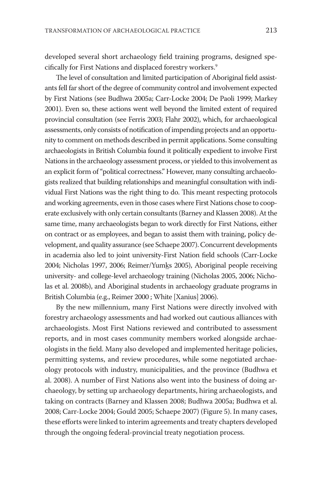developed several short archaeology field training programs, designed specifically for First Nations and displaced forestry workers.<sup>9</sup>

The level of consultation and limited participation of Aboriginal field assistants fell far short of the degree of community control and involvement expected by First Nations (see Budhwa 2005a; Carr-Locke 2004; De Paoli 1999; Markey 2001). Even so, these actions went well beyond the limited extent of required provincial consultation (see Ferris 2003; Flahr 2002), which, for archaeological assessments, only consists of notification of impending projects and an opportunity to comment on methods described in permit applications. Some consulting archaeologists in British Columbia found it politically expedient to involve First Nations in the archaeology assessment process, or yielded to this involvement as an explicit form of "political correctness." However, many consulting archaeologists realized that building relationships and meaningful consultation with individual First Nations was the right thing to do. This meant respecting protocols and working agreements, even in those cases where First Nations chose to cooperate exclusively with only certain consultants (Barney and Klassen 2008). At the same time, many archaeologists began to work directly for First Nations, either on contract or as employees, and began to assist them with training, policy development, and quality assurance (see Schaepe 2007). Concurrent developments in academia also led to joint university-First Nation field schools (Carr-Locke 2004; Nicholas 1997, 2006; Reimer/Yumks 2005), Aboriginal people receiving university- and college-level archaeology training (Nicholas 2005, 2006; Nicholas et al. 2008b), and Aboriginal students in archaeology graduate programs in British Columbia (e.g., Reimer 2000 ; White [Xanius] 2006).

By the new millennium, many First Nations were directly involved with forestry archaeology assessments and had worked out cautious alliances with archaeologists. Most First Nations reviewed and contributed to assessment reports, and in most cases community members worked alongside archaeologists in the field. Many also developed and implemented heritage policies, permitting systems, and review procedures, while some negotiated archaeology protocols with industry, municipalities, and the province (Budhwa et al. 2008). A number of First Nations also went into the business of doing archaeology, by setting up archaeology departments, hiring archaeologists, and taking on contracts (Barney and Klassen 2008; Budhwa 2005a; Budhwa et al. 2008; Carr-Locke 2004; Gould 2005; Schaepe 2007) (Figure 5). In many cases, these efforts were linked to interim agreements and treaty chapters developed through the ongoing federal-provincial treaty negotiation process.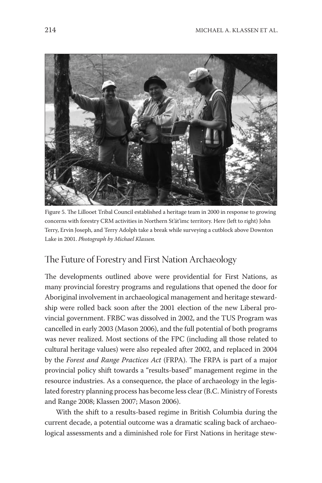

Figure 5. The Lillooet Tribal Council established a heritage team in 2000 in response to growing concerns with forestry CRM activities in Northern St'át'imc territory. Here (left to right) John Terry, Ervin Joseph, and Terry Adolph take a break while surveying a cutblock above Downton Lake in 2001. Photograph by Michael Klassen.

# The Future of Forestry and First Nation Archaeology

The developments outlined above were providential for First Nations, as many provincial forestry programs and regulations that opened the door for Aboriginal involvement in archaeological management and heritage stewardship were rolled back soon after the 2001 election of the new Liberal provincial government. FRBC was dissolved in 2002, and the TUS Program was cancelled in early 2003 (Mason 2006), and the full potential of both programs was never realized. Most sections of the FPC (including all those related to cultural heritage values) were also repealed after 2002, and replaced in 2004 by the Forest and Range Practices Act (FRPA). The FRPA is part of a major provincial policy shift towards a "results-based" management regime in the resource industries. As a consequence, the place of archaeology in the legislated forestry planning process has become less clear (B.C. Ministry of Forests and Range 2008; Klassen 2007; Mason 2006).

With the shift to a results-based regime in British Columbia during the current decade, a potential outcome was a dramatic scaling back of archaeological assessments and a diminished role for First Nations in heritage stew-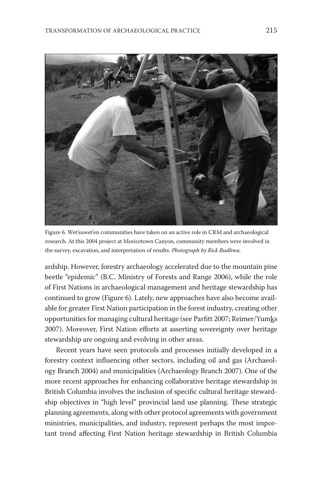

Figure 6. Wet'suwet'en communities have taken on an active role in CRM and archaeological research. At this 2004 project at Moricetown Canyon, community members were involved in the survey, excavation, and interpretation of results. Photograph by Rick Budhwa.

ardship. However, forestry archaeology accelerated due to the mountain pine beetle "epidemic" (B.C. Ministry of Forests and Range 2006), while the role of First Nations in archaeological management and heritage stewardship has continued to grow (Figure 6). Lately, new approaches have also become available for greater First Nation participation in the forest industry, creating other opportunities for managing cultural heritage (see Parfitt 2007; Reimer/Yumks 2007). Moreover, First Nation efforts at asserting sovereignty over heritage stewardship are ongoing and evolving in other areas.

Recent years have seen protocols and processes initially developed in a forestry context influencing other sectors, including oil and gas (Archaeology Branch 2004) and municipalities (Archaeology Branch 2007). One of the more recent approaches for enhancing collaborative heritage stewardship in British Columbia involves the inclusion of specific cultural heritage stewardship objectives in "high level" provincial land use planning. These strategic planning agreements, along with other protocol agreements with government ministries, municipalities, and industry, represent perhaps the most important trend affecting First Nation heritage stewardship in British Columbia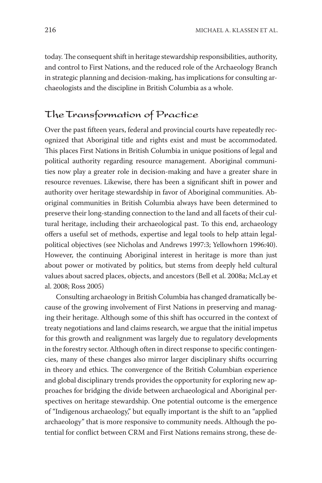today. The consequent shift in heritage stewardship responsibilities, authority, and control to First Nations, and the reduced role of the Archaeology Branch in strategic planning and decision-making, has implications for consulting archaeologists and the discipline in British Columbia as a whole.

# **The Transformation of Practice**

Over the past fifteen years, federal and provincial courts have repeatedly recognized that Aboriginal title and rights exist and must be accommodated. This places First Nations in British Columbia in unique positions of legal and political authority regarding resource management. Aboriginal communities now play a greater role in decision-making and have a greater share in resource revenues. Likewise, there has been a significant shift in power and authority over heritage stewardship in favor of Aboriginal communities. Aboriginal communities in British Columbia always have been determined to preserve their long-standing connection to the land and all facets of their cultural heritage, including their archaeological past. To this end, archaeology offers a useful set of methods, expertise and legal tools to help attain legalpolitical objectives (see Nicholas and Andrews 1997:3; Yellowhorn 1996:40). However, the continuing Aboriginal interest in heritage is more than just about power or motivated by politics, but stems from deeply held cultural values about sacred places, objects, and ancestors (Bell et al. 2008a; McLay et al. 2008; Ross 2005)

Consulting archaeology in British Columbia has changed dramatically because of the growing involvement of First Nations in preserving and managing their heritage. Although some of this shift has occurred in the context of treaty negotiations and land claims research, we argue that the initial impetus for this growth and realignment was largely due to regulatory developments in the forestry sector. Although often in direct response to specific contingencies, many of these changes also mirror larger disciplinary shifts occurring in theory and ethics. The convergence of the British Columbian experience and global disciplinary trends provides the opportunity for exploring new approaches for bridging the divide between archaeological and Aboriginal perspectives on heritage stewardship. One potential outcome is the emergence of "Indigenous archaeology," but equally important is the shift to an "applied archaeology" that is more responsive to community needs. Although the potential for conflict between CRM and First Nations remains strong, these de-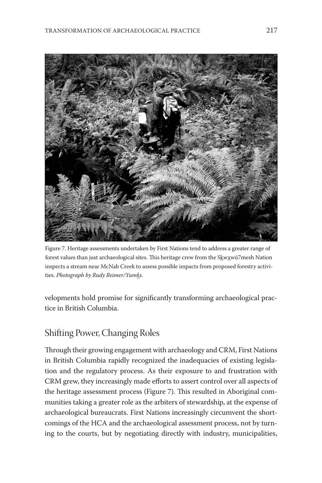

Figure 7. Heritage assessments undertaken by First Nations tend to address a greater range of forest values than just archaeological sites. This heritage crew from the Skwxwú7mesh Nation inspects a stream near McNab Creek to assess possible impacts from proposed forestry activities. Photograph by Rudy Reimer/Yumks.

velopments hold promise for significantly transforming archaeological practice in British Columbia.

# Shifting Power, Changing Roles

Through their growing engagement with archaeology and CRM, First Nations in British Columbia rapidly recognized the inadequacies of existing legislation and the regulatory process. As their exposure to and frustration with CRM grew, they increasingly made efforts to assert control over all aspects of the heritage assessment process (Figure 7). This resulted in Aboriginal communities taking a greater role as the arbiters of stewardship, at the expense of archaeological bureaucrats. First Nations increasingly circumvent the shortcomings of the HCA and the archaeological assessment process, not by turning to the courts, but by negotiating directly with industry, municipalities,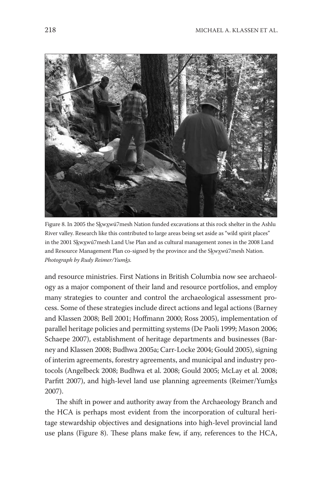

Figure 8. In 2005 the Skwxwú7mesh Nation funded excavations at this rock shelter in the Ashlu River valley. Research like this contributed to large areas being set aside as "wild spirit places" in the 2001 Skwxwú7mesh Land Use Plan and as cultural management zones in the 2008 Land and Resource Management Plan co-signed by the province and the Skwxwú7mesh Nation. Photograph by Rudy Reimer/Yumks.

and resource ministries. First Nations in British Columbia now see archaeology as a major component of their land and resource portfolios, and employ many strategies to counter and control the archaeological assessment process. Some of these strategies include direct actions and legal actions (Barney and Klassen 2008; Bell 2001; Hoffmann 2000; Ross 2005), implementation of parallel heritage policies and permitting systems (De Paoli 1999; Mason 2006; Schaepe 2007), establishment of heritage departments and businesses (Barney and Klassen 2008; Budhwa 2005a; Carr-Locke 2004; Gould 2005), signing of interim agreements, forestry agreements, and municipal and industry protocols (Angelbeck 2008; Budhwa et al. 2008; Gould 2005; McLay et al. 2008; Parfitt 2007), and high-level land use planning agreements (Reimer/Yumks 2007).

The shift in power and authority away from the Archaeology Branch and the HCA is perhaps most evident from the incorporation of cultural heritage stewardship objectives and designations into high-level provincial land use plans (Figure 8). These plans make few, if any, references to the HCA,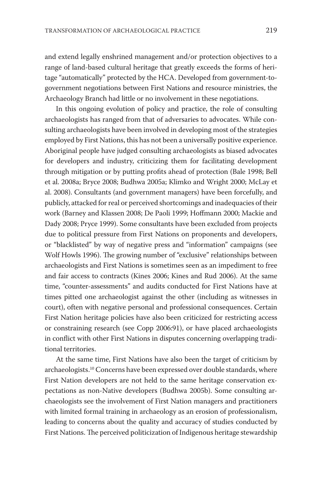and extend legally enshrined management and/or protection objectives to a range of land-based cultural heritage that greatly exceeds the forms of heritage "automatically" protected by the HCA. Developed from government-togovernment negotiations between First Nations and resource ministries, the Archaeology Branch had little or no involvement in these negotiations.

In this ongoing evolution of policy and practice, the role of consulting archaeologists has ranged from that of adversaries to advocates. While consulting archaeologists have been involved in developing most of the strategies employed by First Nations, this has not been a universally positive experience. Aboriginal people have judged consulting archaeologists as biased advocates for developers and industry, criticizing them for facilitating development through mitigation or by putting profits ahead of protection (Bale 1998; Bell et al. 2008a; Bryce 2008; Budhwa 2005a; Klimko and Wright 2000; McLay et al. 2008). Consultants (and government managers) have been forcefully, and publicly, attacked for real or perceived shortcomings and inadequacies of their work (Barney and Klassen 2008; De Paoli 1999; Hoffmann 2000; Mackie and Dady 2008; Pryce 1999). Some consultants have been excluded from projects due to political pressure from First Nations on proponents and developers, or "blacklisted" by way of negative press and "information" campaigns (see Wolf Howls 1996). The growing number of "exclusive" relationships between archaeologists and First Nations is sometimes seen as an impediment to free and fair access to contracts (Kines 2006; Kines and Rud 2006). At the same time, "counter-assessments" and audits conducted for First Nations have at times pitted one archaeologist against the other (including as witnesses in court), often with negative personal and professional consequences. Certain First Nation heritage policies have also been criticized for restricting access or constraining research (see Copp 2006:91), or have placed archaeologists in conflict with other First Nations in disputes concerning overlapping traditional territories.

At the same time, First Nations have also been the target of criticism by archaeologists.<sup>10</sup> Concerns have been expressed over double standards, where First Nation developers are not held to the same heritage conservation expectations as non-Native developers (Budhwa 2005b). Some consulting archaeologists see the involvement of First Nation managers and practitioners with limited formal training in archaeology as an erosion of professionalism, leading to concerns about the quality and accuracy of studies conducted by First Nations. The perceived politicization of Indigenous heritage stewardship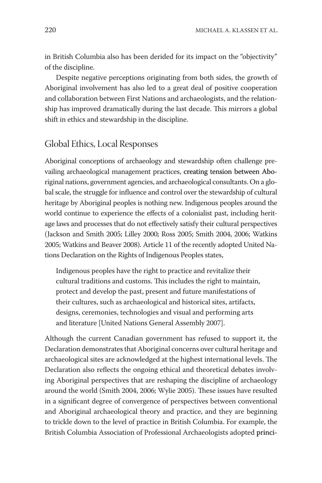in British Columbia also has been derided for its impact on the "objectivity" of the discipline.

Despite negative perceptions originating from both sides, the growth of Aboriginal involvement has also led to a great deal of positive cooperation and collaboration between First Nations and archaeologists, and the relationship has improved dramatically during the last decade. This mirrors a global shift in ethics and stewardship in the discipline.

### Global Ethics, Local Responses

Aboriginal conceptions of archaeology and stewardship often challenge prevailing archaeological management practices, creating tension between Aboriginal nations, government agencies, and archaeological consultants. On a global scale, the struggle for influence and control over the stewardship of cultural heritage by Aboriginal peoples is nothing new. Indigenous peoples around the world continue to experience the effects of a colonialist past, including heritage laws and processes that do not effectively satisfy their cultural perspectives (Jackson and Smith 2005; Lilley 2000; Ross 2005; Smith 2004, 2006; Watkins 2005; Watkins and Beaver 2008). Article 11 of the recently adopted United Nations Declaration on the Rights of Indigenous Peoples states,

Indigenous peoples have the right to practice and revitalize their cultural traditions and customs. This includes the right to maintain, protect and develop the past, present and future manifestations of their cultures, such as archaeological and historical sites, artifacts, designs, ceremonies, technologies and visual and performing arts and literature [United Nations General Assembly 2007].

Although the current Canadian government has refused to support it, the Declaration demonstrates that Aboriginal concerns over cultural heritage and archaeological sites are acknowledged at the highest international levels. The Declaration also reflects the ongoing ethical and theoretical debates involving Aboriginal perspectives that are reshaping the discipline of archaeology around the world (Smith 2004, 2006; Wylie 2005). These issues have resulted in a significant degree of convergence of perspectives between conventional and Aboriginal archaeological theory and practice, and they are beginning to trickle down to the level of practice in British Columbia. For example, the British Columbia Association of Professional Archaeologists adopted princi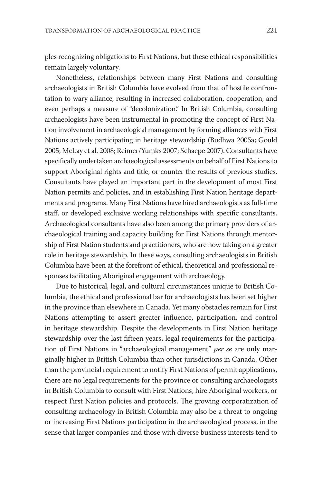ples recognizing obligations to First Nations, but these ethical responsibilities remain largely voluntary.

Nonetheless, relationships between many First Nations and consulting archaeologists in British Columbia have evolved from that of hostile confrontation to wary alliance, resulting in increased collaboration, cooperation, and even perhaps a measure of "decolonization." In British Columbia, consulting archaeologists have been instrumental in promoting the concept of First Nation involvement in archaeological management by forming alliances with First Nations actively participating in heritage stewardship (Budhwa 2005a; Gould 2005; McLay et al. 2008; Reimer/Yumks 2007; Schaepe 2007). Consultants have specifically undertaken archaeological assessments on behalf of First Nations to support Aboriginal rights and title, or counter the results of previous studies. Consultants have played an important part in the development of most First Nation permits and policies, and in establishing First Nation heritage departments and programs. Many First Nations have hired archaeologists as full-time staff, or developed exclusive working relationships with specific consultants. Archaeological consultants have also been among the primary providers of archaeological training and capacity building for First Nations through mentorship of First Nation students and practitioners, who are now taking on a greater role in heritage stewardship. In these ways, consulting archaeologists in British Columbia have been at the forefront of ethical, theoretical and professional responses facilitating Aboriginal engagement with archaeology.

Due to historical, legal, and cultural circumstances unique to British Columbia, the ethical and professional bar for archaeologists has been set higher in the province than elsewhere in Canada. Yet many obstacles remain for First Nations attempting to assert greater influence, participation, and control in heritage stewardship. Despite the developments in First Nation heritage stewardship over the last fifteen years, legal requirements for the participation of First Nations in "archaeological management" per se are only marginally higher in British Columbia than other jurisdictions in Canada. Other than the provincial requirement to notify First Nations of permit applications, there are no legal requirements for the province or consulting archaeologists in British Columbia to consult with First Nations, hire Aboriginal workers, or respect First Nation policies and protocols. The growing corporatization of consulting archaeology in British Columbia may also be a threat to ongoing or increasing First Nations participation in the archaeological process, in the sense that larger companies and those with diverse business interests tend to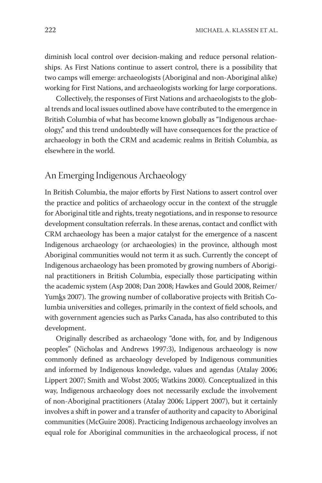diminish local control over decision-making and reduce personal relationships. As First Nations continue to assert control, there is a possibility that two camps will emerge: archaeologists (Aboriginal and non-Aboriginal alike) working for First Nations, and archaeologists working for large corporations.

Collectively, the responses of First Nations and archaeologists to the global trends and local issues outlined above have contributed to the emergence in British Columbia of what has become known globally as "Indigenous archaeology," and this trend undoubtedly will have consequences for the practice of archaeology in both the CRM and academic realms in British Columbia, as elsewhere in the world.

### An Emerging Indigenous Archaeology

In British Columbia, the major efforts by First Nations to assert control over the practice and politics of archaeology occur in the context of the struggle for Aboriginal title and rights, treaty negotiations, and in response to resource development consultation referrals. In these arenas, contact and conflict with CRM archaeology has been a major catalyst for the emergence of a nascent Indigenous archaeology (or archaeologies) in the province, although most Aboriginal communities would not term it as such. Currently the concept of Indigenous archaeology has been promoted by growing numbers of Aboriginal practitioners in British Columbia, especially those participating within the academic system (Asp 2008; Dan 2008; Hawkes and Gould 2008, Reimer/ Yumks 2007). The growing number of collaborative projects with British Columbia universities and colleges, primarily in the context of field schools, and with government agencies such as Parks Canada, has also contributed to this development.

Originally described as archaeology "done with, for, and by Indigenous peoples" (Nicholas and Andrews 1997:3), Indigenous archaeology is now commonly defined as archaeology developed by Indigenous communities and informed by Indigenous knowledge, values and agendas (Atalay 2006; Lippert 2007; Smith and Wobst 2005; Watkins 2000). Conceptualized in this way, Indigenous archaeology does not necessarily exclude the involvement of non-Aboriginal practitioners (Atalay 2006; Lippert 2007), but it certainly involves a shift in power and a transfer of authority and capacity to Aboriginal communities (McGuire 2008). Practicing Indigenous archaeology involves an equal role for Aboriginal communities in the archaeological process, if not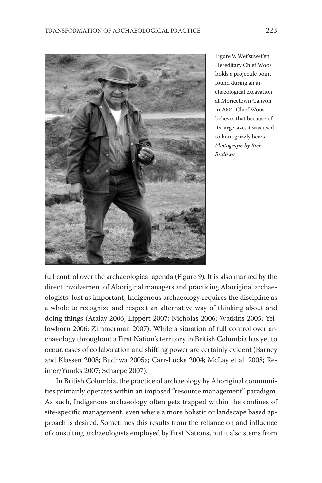

Figure 9. Wet'suwet'en Hereditary Chief Woos holds a projectile point found during an archaeological excavation at Moricetown Canyon in 2004. Chief Woos believes that because of its large size, it was used to hunt grizzly bears. Photograph by Rick Budhwa.

full control over the archaeological agenda (Figure 9). It is also marked by the direct involvement of Aboriginal managers and practicing Aboriginal archaeologists. Just as important, Indigenous archaeology requires the discipline as a whole to recognize and respect an alternative way of thinking about and doing things (Atalay 2006; Lippert 2007; Nicholas 2006; Watkins 2005; Yellowhorn 2006; Zimmerman 2007). While a situation of full control over archaeology throughout a First Nation's territory in British Columbia has yet to occur, cases of collaboration and shifting power are certainly evident (Barney and Klassen 2008; Budhwa 2005a; Carr-Locke 2004; McLay et al. 2008; Reimer/Yumks 2007; Schaepe 2007).

In British Columbia, the practice of archaeology by Aboriginal communities primarily operates within an imposed "resource management" paradigm. As such, Indigenous archaeology often gets trapped within the confines of site-specific management, even where a more holistic or landscape based approach is desired. Sometimes this results from the reliance on and influence of consulting archaeologists employed by First Nations, but it also stems from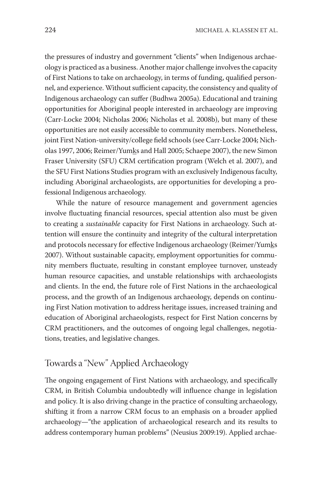the pressures of industry and government "clients" when Indigenous archaeology is practiced as a business. Another major challenge involves the capacity of First Nations to take on archaeology, in terms of funding, qualified personnel, and experience. Without sufficient capacity, the consistency and quality of Indigenous archaeology can suffer (Budhwa 2005a). Educational and training opportunities for Aboriginal people interested in archaeology are improving (Carr-Locke 2004; Nicholas 2006; Nicholas et al. 2008b), but many of these opportunities are not easily accessible to community members. Nonetheless, joint First Nation-university/college field schools (see Carr-Locke 2004; Nicholas 1997, 2006; Reimer/Yumks and Hall 2005; Schaepe 2007), the new Simon Fraser University (SFU) CRM certification program (Welch et al. 2007), and the SFU First Nations Studies program with an exclusively Indigenous faculty, including Aboriginal archaeologists, are opportunities for developing a professional Indigenous archaeology.

While the nature of resource management and government agencies involve fluctuating financial resources, special attention also must be given to creating a *sustainable* capacity for First Nations in archaeology. Such attention will ensure the continuity and integrity of the cultural interpretation and protocols necessary for effective Indigenous archaeology (Reimer/Yumks 2007). Without sustainable capacity, employment opportunities for community members fluctuate, resulting in constant employee turnover, unsteady human resource capacities, and unstable relationships with archaeologists and clients. In the end, the future role of First Nations in the archaeological process, and the growth of an Indigenous archaeology, depends on continuing First Nation motivation to address heritage issues, increased training and education of Aboriginal archaeologists, respect for First Nation concerns by CRM practitioners, and the outcomes of ongoing legal challenges, negotiations, treaties, and legislative changes.

### Towards a "New" Applied Archaeology

The ongoing engagement of First Nations with archaeology, and specifically CRM, in British Columbia undoubtedly will influence change in legislation and policy. It is also driving change in the practice of consulting archaeology, shifting it from a narrow CRM focus to an emphasis on a broader applied archaeology—"the application of archaeological research and its results to address contemporary human problems" (Neusius 2009:19). Applied archae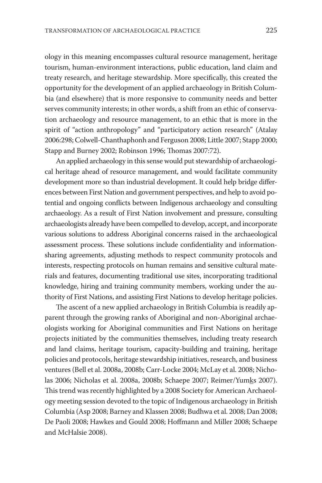ology in this meaning encompasses cultural resource management, heritage tourism, human-environment interactions, public education, land claim and treaty research, and heritage stewardship. More specifically, this created the opportunity for the development of an applied archaeology in British Columbia (and elsewhere) that is more responsive to community needs and better serves community interests; in other words, a shift from an ethic of conservation archaeology and resource management, to an ethic that is more in the spirit of "action anthropology" and "participatory action research" (Atalay 2006:298; Colwell-Chanthaphonh and Ferguson 2008; Little 2007; Stapp 2000; Stapp and Burney 2002; Robinson 1996; Thomas 2007:72).

An applied archaeology in this sense would put stewardship of archaeological heritage ahead of resource management, and would facilitate community development more so than industrial development. It could help bridge differences between First Nation and government perspectives, and help to avoid potential and ongoing conflicts between Indigenous archaeology and consulting archaeology. As a result of First Nation involvement and pressure, consulting archaeologists already have been compelled to develop, accept, and incorporate various solutions to address Aboriginal concerns raised in the archaeological assessment process. These solutions include confidentiality and informationsharing agreements, adjusting methods to respect community protocols and interests, respecting protocols on human remains and sensitive cultural materials and features, documenting traditional use sites, incorporating traditional knowledge, hiring and training community members, working under the authority of First Nations, and assisting First Nations to develop heritage policies.

The ascent of a new applied archaeology in British Columbia is readily apparent through the growing ranks of Aboriginal and non-Aboriginal archaeologists working for Aboriginal communities and First Nations on heritage projects initiated by the communities themselves, including treaty research and land claims, heritage tourism, capacity-building and training, heritage policies and protocols, heritage stewardship initiatives, research, and business ventures (Bell et al. 2008a, 2008b; Carr-Locke 2004; McLay et al. 2008; Nicholas 2006; Nicholas et al. 2008a, 2008b; Schaepe 2007; Reimer/Yumks 2007). This trend was recently highlighted by a 2008 Society for American Archaeology meeting session devoted to the topic of Indigenous archaeology in British Columbia (Asp 2008; Barney and Klassen 2008; Budhwa et al. 2008; Dan 2008; De Paoli 2008; Hawkes and Gould 2008; Hoffmann and Miller 2008; Schaepe and McHalsie 2008).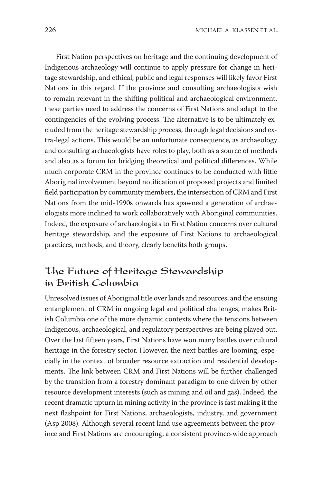First Nation perspectives on heritage and the continuing development of Indigenous archaeology will continue to apply pressure for change in heritage stewardship, and ethical, public and legal responses will likely favor First Nations in this regard. If the province and consulting archaeologists wish to remain relevant in the shifting political and archaeological environment, these parties need to address the concerns of First Nations and adapt to the contingencies of the evolving process. The alternative is to be ultimately excluded from the heritage stewardship process, through legal decisions and extra-legal actions. This would be an unfortunate consequence, as archaeology and consulting archaeologists have roles to play, both as a source of methods and also as a forum for bridging theoretical and political differences. While much corporate CRM in the province continues to be conducted with little Aboriginal involvement beyond notification of proposed projects and limited field participation by community members, the intersection of CRM and First Nations from the mid-1990s onwards has spawned a generation of archaeologists more inclined to work collaboratively with Aboriginal communities. Indeed, the exposure of archaeologists to First Nation concerns over cultural heritage stewardship, and the exposure of First Nations to archaeological practices, methods, and theory, clearly benefits both groups.

# **The Future of Heritage Stewardship in British Columbia**

Unresolved issues of Aboriginal title over lands and resources, and the ensuing entanglement of CRM in ongoing legal and political challenges, makes British Columbia one of the more dynamic contexts where the tensions between Indigenous, archaeological, and regulatory perspectives are being played out. Over the last fifteen years, First Nations have won many battles over cultural heritage in the forestry sector. However, the next battles are looming, especially in the context of broader resource extraction and residential developments. The link between CRM and First Nations will be further challenged by the transition from a forestry dominant paradigm to one driven by other resource development interests (such as mining and oil and gas). Indeed, the recent dramatic upturn in mining activity in the province is fast making it the next flashpoint for First Nations, archaeologists, industry, and government (Asp 2008). Although several recent land use agreements between the province and First Nations are encouraging, a consistent province-wide approach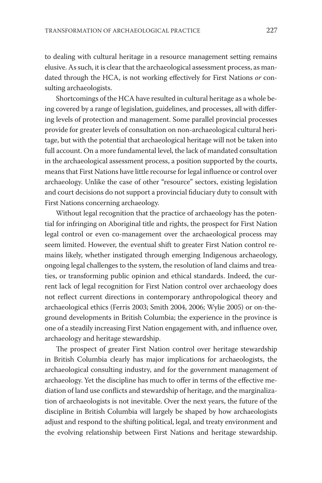to dealing with cultural heritage in a resource management setting remains elusive. As such, it is clear that the archaeological assessment process, as mandated through the HCA, is not working effectively for First Nations or consulting archaeologists.

Shortcomings of the HCA have resulted in cultural heritage as a whole being covered by a range of legislation, guidelines, and processes, all with differing levels of protection and management. Some parallel provincial processes provide for greater levels of consultation on non-archaeological cultural heritage, but with the potential that archaeological heritage will not be taken into full account. On a more fundamental level, the lack of mandated consultation in the archaeological assessment process, a position supported by the courts, means that First Nations have little recourse for legal influence or control over archaeology. Unlike the case of other "resource" sectors, existing legislation and court decisions do not support a provincial fiduciary duty to consult with First Nations concerning archaeology.

Without legal recognition that the practice of archaeology has the potential for infringing on Aboriginal title and rights, the prospect for First Nation legal control or even co-management over the archaeological process may seem limited. However, the eventual shift to greater First Nation control remains likely, whether instigated through emerging Indigenous archaeology, ongoing legal challenges to the system, the resolution of land claims and treaties, or transforming public opinion and ethical standards. Indeed, the current lack of legal recognition for First Nation control over archaeology does not reflect current directions in contemporary anthropological theory and archaeological ethics (Ferris 2003; Smith 2004, 2006; Wylie 2005) or on-theground developments in British Columbia; the experience in the province is one of a steadily increasing First Nation engagement with, and influence over, archaeology and heritage stewardship.

The prospect of greater First Nation control over heritage stewardship in British Columbia clearly has major implications for archaeologists, the archaeological consulting industry, and for the government management of archaeology. Yet the discipline has much to offer in terms of the effective mediation of land use conflicts and stewardship of heritage, and the marginalization of archaeologists is not inevitable. Over the next years, the future of the discipline in British Columbia will largely be shaped by how archaeologists adjust and respond to the shifting political, legal, and treaty environment and the evolving relationship between First Nations and heritage stewardship.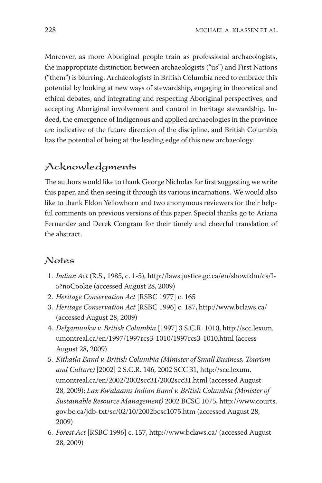Moreover, as more Aboriginal people train as professional archaeologists, the inappropriate distinction between archaeologists ("us") and First Nations ("them") is blurring. Archaeologists in British Columbia need to embrace this potential by looking at new ways of stewardship, engaging in theoretical and ethical debates, and integrating and respecting Aboriginal perspectives, and accepting Aboriginal involvement and control in heritage stewardship. Indeed, the emergence of Indigenous and applied archaeologies in the province are indicative of the future direction of the discipline, and British Columbia has the potential of being at the leading edge of this new archaeology.

## **Acknowledgments**

The authors would like to thank George Nicholas for first suggesting we write this paper, and then seeing it through its various incarnations. We would also like to thank Eldon Yellowhorn and two anonymous reviewers for their helpful comments on previous versions of this paper. Special thanks go to Ariana Fernandez and Derek Congram for their timely and cheerful translation of the abstract.

### **Notes**

- 1. Indian Act (R.S., 1985, c. 1-5), http://laws.justice.gc.ca/en/showtdm/cs/I-5?noCookie (accessed August 28, 2009)
- 2. Heritage Conservation Act [RSBC 1977] c. 165
- 3. Heritage Conservation Act [RSBC 1996] c. 187, http://www.bclaws.ca/ (accessed August 28, 2009)
- 4. Delgamuukw v. British Columbia [1997] 3 S.C.R. 1010, http://scc.lexum. umontreal.ca/en/1997/1997rcs3-1010/1997rcs3-1010.html (access August 28, 2009)
- 5. Kitkatla Band v. British Columbia (Minister of Small Business, Tourism and Culture) [2002] 2 S.C.R. 146, 2002 SCC 31, http://scc.lexum. umontreal.ca/en/2002/2002scc31/2002scc31.html (accessed August 28, 2009); Lax Kw'alaams Indian Band v. British Columbia (Minister of Sustainable Resource Management) 2002 BCSC 1075, http://www.courts. gov.bc.ca/jdb-txt/sc/02/10/2002bcsc1075.htm (accessed August 28, 2009)
- 6. Forest Act [RSBC 1996] c. 157, http://www.bclaws.ca/ (accessed August 28, 2009)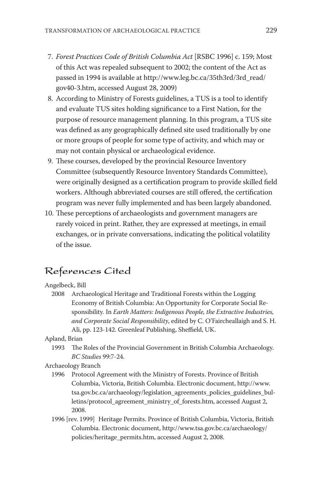- 7. Forest Practices Code of British Columbia Act [RSBC 1996] c. 159; Most of this Act was repealed subsequent to 2002; the content of the Act as passed in 1994 is available at http://www.leg.bc.ca/35th3rd/3rd\_read/ gov40-3.htm, accessed August 28, 2009)
- 8. According to Ministry of Forests guidelines, a TUS is a tool to identify and evaluate TUS sites holding significance to a First Nation, for the purpose of resource management planning. In this program, a TUS site was defined as any geographically defined site used traditionally by one or more groups of people for some type of activity, and which may or may not contain physical or archaeological evidence.
- 9. These courses, developed by the provincial Resource Inventory Committee (subsequently Resource Inventory Standards Committee), were originally designed as a certification program to provide skilled field workers. Although abbreviated courses are still offered, the certification program was never fully implemented and has been largely abandoned.
- 10. These perceptions of archaeologists and government managers are rarely voiced in print. Rather, they are expressed at meetings, in email exchanges, or in private conversations, indicating the political volatility of the issue.

# **References Cited**

#### Angelbeck, Bill

2008 Archaeological Heritage and Traditional Forests within the Logging Economy of British Columbia: An Opportunity for Corporate Social Responsibility. In Earth Matters: Indigenous People, the Extractive Industries, and Corporate Social Responsibility, edited by C. O'Faircheallaigh and S. H. Ali, pp. 123-142. Greenleaf Publishing, Sheffield, UK.

#### Apland, Brian

1993 !e Roles of the Provincial Government in British Columbia Archaeology. BC Studies 99:7-24.

#### Archaeology Branch

- 1996 Protocol Agreement with the Ministry of Forests. Province of British Columbia, Victoria, British Columbia. Electronic document, http://www. tsa.gov.bc.ca/archaeology/legislation\_agreements\_policies\_guidelines\_bulletins/protocol\_agreement\_ministry\_of\_forests.htm, accessed August 2, 2008.
- 1996 [rev. 1999] Heritage Permits. Province of British Columbia, Victoria, British Columbia. Electronic document, http://www.tsa.gov.bc.ca/archaeology/ policies/heritage\_permits.htm, accessed August 2, 2008.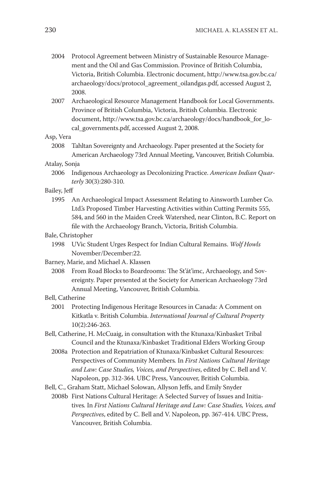- 2004 Protocol Agreement between Ministry of Sustainable Resource Management and the Oil and Gas Commission. Province of British Columbia, Victoria, British Columbia. Electronic document, http://www.tsa.gov.bc.ca/ archaeology/docs/protocol\_agreement\_oilandgas.pdf, accessed August 2, 2008.
- 2007 Archaeological Resource Management Handbook for Local Governments. Province of British Columbia, Victoria, British Columbia. Electronic document, http://www.tsa.gov.bc.ca/archaeology/docs/handbook\_for\_local\_governments.pdf, accessed August 2, 2008.

#### Asp, Vera

2008 Tahltan Sovereignty and Archaeology. Paper presented at the Society for American Archaeology 73rd Annual Meeting, Vancouver, British Columbia.

Atalay, Sonja

2006 Indigenous Archaeology as Decolonizing Practice. American Indian Quarterly 30(3):280-310.

Bailey, Jeff

1995 An Archaeological Impact Assessment Relating to Ainsworth Lumber Co. Ltd.'s Proposed Timber Harvesting Activities within Cutting Permits 555, 584, and 560 in the Maiden Creek Watershed, near Clinton, B.C. Report on file with the Archaeology Branch, Victoria, British Columbia.

Bale, Christopher

- 1998 UVic Student Urges Respect for Indian Cultural Remains. Wolf Howls November/December:22.
- Barney, Marie, and Michael A. Klassen
	- 2008 From Road Blocks to Boardrooms: The St'át'imc, Archaeology, and Sovereignty. Paper presented at the Society for American Archaeology 73rd Annual Meeting, Vancouver, British Columbia.
- Bell, Catherine
	- 2001 Protecting Indigenous Heritage Resources in Canada: A Comment on Kitkatla v. British Columbia. International Journal of Cultural Property 10(2):246-263.
- Bell, Catherine, H. McCuaig, in consultation with the Ktunaxa/Kinbasket Tribal Council and the Ktunaxa/Kinbasket Traditional Elders Working Group
	- 2008a Protection and Repatriation of Ktunaxa/Kinbasket Cultural Resources: Perspectives of Community Members. In First Nations Cultural Heritage and Law: Case Studies, Voices, and Perspectives, edited by C. Bell and V. Napoleon, pp. 312-364. UBC Press, Vancouver, British Columbia.
- Bell, C., Graham Statt, Michael Solowan, Allyson Jeffs, and Emily Snyder
	- 2008b First Nations Cultural Heritage: A Selected Survey of Issues and Initiatives. In First Nations Cultural Heritage and Law: Case Studies, Voices, and Perspectives, edited by C. Bell and V. Napoleon, pp. 367-414. UBC Press, Vancouver, British Columbia.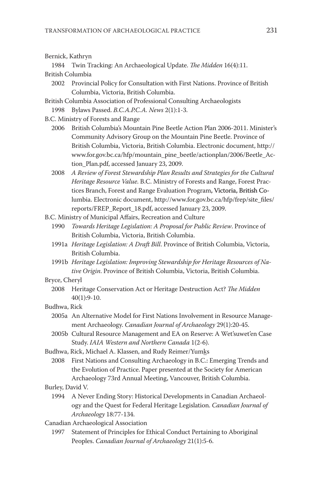#### Bernick, Kathryn

1984 Twin Tracking: An Archaeological Update. The Midden 16(4):11. British Columbia

- 2002 Provincial Policy for Consultation with First Nations. Province of British Columbia, Victoria, British Columbia.
- British Columbia Association of Professional Consulting Archaeologists 1998 Bylaws Passed. B.C.A.P.C.A. News 2(1):1-3.
- B.C. Ministry of Forests and Range
	- 2006 British Columbia's Mountain Pine Beetle Action Plan 2006-2011. Minister's Community Advisory Group on the Mountain Pine Beetle. Province of British Columbia, Victoria, British Columbia. Electronic document, http:// www.for.gov.bc.ca/hfp/mountain\_pine\_beetle/actionplan/2006/Beetle\_Action\_Plan.pdf, accessed January 23, 2009.
	- 2008 A Review of Forest Stewardship Plan Results and Strategies for the Cultural Heritage Resource Value. B.C. Ministry of Forests and Range, Forest Practices Branch, Forest and Range Evaluation Program, Victoria, British Columbia. Electronic document, http://www.for.gov.bc.ca/hfp/frep/site\_files/ reports/FREP\_Report\_18.pdf, accessed January 23, 2009.

B.C. Ministry of Municipal Affairs, Recreation and Culture

- 1990 Towards Heritage Legislation: A Proposal for Public Review. Province of British Columbia, Victoria, British Columbia.
- 1991a Heritage Legislation: A Draft Bill. Province of British Columbia, Victoria, British Columbia.
- 1991b Heritage Legislation: Improving Stewardship for Heritage Resources of Native Origin. Province of British Columbia, Victoria, British Columbia.

#### Bryce, Cheryl

2008 Heritage Conservation Act or Heritage Destruction Act? The Midden 40(1):9-10.

#### Budhwa, Rick

- 2005a An Alternative Model for First Nations Involvement in Resource Management Archaeology. Canadian Journal of Archaeology 29(1):20-45.
- 2005b Cultural Resource Management and EA on Reserve: A Wet'suwet'en Case Study. IAIA Western and Northern Canada 1(2-6).

Budhwa, Rick, Michael A. Klassen, and Rudy Reimer/Yumks

2008 First Nations and Consulting Archaeology in B.C.: Emerging Trends and the Evolution of Practice. Paper presented at the Society for American Archaeology 73rd Annual Meeting, Vancouver, British Columbia.

Burley, David V.

1994 A Never Ending Story: Historical Developments in Canadian Archaeology and the Quest for Federal Heritage Legislation. Canadian Journal of Archaeology 18:77-134.

Canadian Archaeological Association

1997 Statement of Principles for Ethical Conduct Pertaining to Aboriginal Peoples. Canadian Journal of Archaeology 21(1):5-6.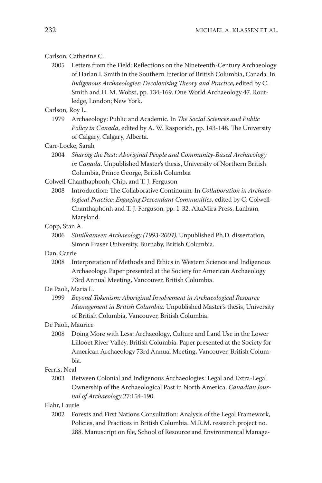#### Carlson, Catherine C.

2005 Letters from the Field: Reflections on the Nineteenth-Century Archaeology of Harlan I. Smith in the Southern Interior of British Columbia, Canada. In Indigenous Archaeologies: Decolonising Theory and Practice, edited by C. Smith and H. M. Wobst, pp. 134-169. One World Archaeology 47. Routledge, London; New York.

#### Carlson, Roy L.

1979 Archaeology: Public and Academic. In The Social Sciences and Public Policy in Canada, edited by A. W. Rasporich, pp. 143-148. The University of Calgary, Calgary, Alberta.

#### Carr-Locke, Sarah

2004 Sharing the Past: Aboriginal People and Community-Based Archaeology in Canada. Unpublished Master's thesis, University of Northern British Columbia, Prince George, British Columbia

#### Colwell-Chanthaphonh, Chip, and T. J. Ferguson

2008 Introduction: The Collaborative Continuum. In Collaboration in Archaeological Practice: Engaging Descendant Communities, edited by C. Colwell-Chanthaphonh and T. J. Ferguson, pp. 1-32. AltaMira Press, Lanham, Maryland.

#### Copp, Stan A.

2006 Similkameen Archaeology (1993-2004). Unpublished Ph.D. dissertation, Simon Fraser University, Burnaby, British Columbia.

#### Dan, Carrie

- 2008 Interpretation of Methods and Ethics in Western Science and Indigenous Archaeology. Paper presented at the Society for American Archaeology 73rd Annual Meeting, Vancouver, British Columbia.
- De Paoli, Maria L.
	- 1999 Beyond Tokenism: Aboriginal Involvement in Archaeological Resource Management in British Columbia. Unpublished Master's thesis, University of British Columbia, Vancouver, British Columbia.

#### De Paoli, Maurice

- 2008 Doing More with Less: Archaeology, Culture and Land Use in the Lower Lillooet River Valley, British Columbia. Paper presented at the Society for American Archaeology 73rd Annual Meeting, Vancouver, British Columbia.
- Ferris, Neal
	- 2003 Between Colonial and Indigenous Archaeologies: Legal and Extra-Legal Ownership of the Archaeological Past in North America. Canadian Journal of Archaeology 27:154-190.

#### Flahr, Laurie

2002 Forests and First Nations Consultation: Analysis of the Legal Framework, Policies, and Practices in British Columbia. M.R.M. research project no. 288. Manuscript on file, School of Resource and Environmental Manage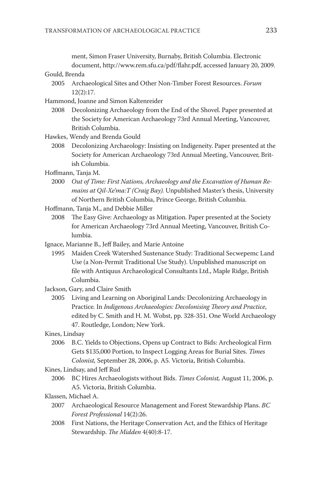ment, Simon Fraser University, Burnaby, British Columbia. Electronic document, http://www.rem.sfu.ca/pdf/flahr.pdf, accessed January 20, 2009.

- Gould, Brenda
	- 2005 Archaeological Sites and Other Non-Timber Forest Resources. Forum 12(2):17.
- Hammond, Joanne and Simon Kaltenreider
	- 2008 Decolonizing Archaeology from the End of the Shovel. Paper presented at the Society for American Archaeology 73rd Annual Meeting, Vancouver, British Columbia.
- Hawkes, Wendy and Brenda Gould
	- 2008 Decolonizing Archaeology: Insisting on Indigeneity. Paper presented at the Society for American Archaeology 73rd Annual Meeting, Vancouver, British Columbia.
- Hoffmann, Tanja M.
	- 2000 Out of Time: First Nations, Archaeology and the Excavation of Human Remains at Qil-Xe'ma: T (Craig Bay). Unpublished Master's thesis, University of Northern British Columbia, Prince George, British Columbia.
- Hoffmann, Tanja M., and Debbie Miller
	- 2008 The Easy Give: Archaeology as Mitigation. Paper presented at the Society for American Archaeology 73rd Annual Meeting, Vancouver, British Columbia.
- Ignace, Marianne B., Jeff Bailey, and Marie Antoine
	- 1995 Maiden Creek Watershed Sustenance Study: Traditional Secwepemc Land Use (a Non-Permit Traditional Use Study). Unpublished manuscript on file with Antiquus Archaeological Consultants Ltd., Maple Ridge, British Columbia.
- Jackson, Gary, and Claire Smith
	- 2005 Living and Learning on Aboriginal Lands: Decolonizing Archaeology in Practice. In Indigenous Archaeologies: Decolonising Theory and Practice, edited by C. Smith and H. M. Wobst, pp. 328-351. One World Archaeology 47. Routledge, London; New York.
- Kines, Lindsay
	- 2006 B.C. Yields to Objections, Opens up Contract to Bids: Archeological Firm Gets \$135,000 Portion, to Inspect Logging Areas for Burial Sites. Times Colonist, September 28, 2006, p. A5. Victoria, British Columbia.
- Kines, Lindsay, and Jeff Rud
	- 2006 BC Hires Archaeologists without Bids. Times Colonist, August 11, 2006, p. A5. Victoria, British Columbia.
- Klassen, Michael A.
	- 2007 Archaeological Resource Management and Forest Stewardship Plans. BC Forest Professional 14(2):26.
	- 2008 First Nations, the Heritage Conservation Act, and the Ethics of Heritage Stewardship. The Midden 4(40):8-17.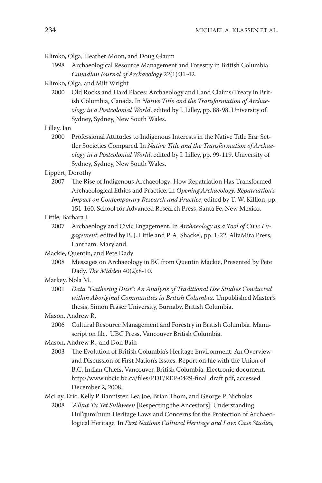Klimko, Olga, Heather Moon, and Doug Glaum

1998 Archaeological Resource Management and Forestry in British Columbia. Canadian Journal of Archaeology 22(1):31-42.

Klimko, Olga, and Milt Wright

- 2000 Old Rocks and Hard Places: Archaeology and Land Claims/Treaty in British Columbia, Canada. In Native Title and the Transformation of Archaeology in a Postcolonial World, edited by I. Lilley, pp. 88-98. University of Sydney, Sydney, New South Wales.
- Lilley, Ian
	- 2000 Professional Attitudes to Indigenous Interests in the Native Title Era: Settler Societies Compared. In Native Title and the Transformation of Archaeology in a Postcolonial World, edited by I. Lilley, pp. 99-119. University of Sydney, Sydney, New South Wales.

Lippert, Dorothy

2007 The Rise of Indigenous Archaeology: How Repatriation Has Transformed Archaeological Ethics and Practice. In Opening Archaeology: Repatriation's Impact on Contemporary Research and Practice, edited by T. W. Killion, pp. 151-160. School for Advanced Research Press, Santa Fe, New Mexico.

#### Little, Barbara J.

2007 Archaeology and Civic Engagement. In Archaeology as a Tool of Civic Engagement, edited by B. J. Little and P. A. Shackel, pp. 1-22. AltaMira Press, Lantham, Maryland.

Mackie, Quentin, and Pete Dady

2008 Messages on Archaeology in BC from Quentin Mackie, Presented by Pete Dady. The Midden 40(2):8-10.

#### Markey, Nola M.

2001 Data "Gathering Dust": An Analysis of Traditional Use Studies Conducted within Aboriginal Communities in British Columbia. Unpublished Master's thesis, Simon Fraser University, Burnaby, British Columbia.

Mason, Andrew R.

- 2006 Cultural Resource Management and Forestry in British Columbia. Manuscript on file, UBC Press, Vancouver British Columbia.
- Mason, Andrew R., and Don Bain
	- 2003 The Evolution of British Columbia's Heritage Environment: An Overview and Discussion of First Nation's Issues. Report on file with the Union of B.C. Indian Chiefs, Vancouver, British Columbia. Electronic document, http://www.ubcic.bc.ca/files/PDF/REP-0429-final\_draft.pdf, accessed December 2, 2008.
- McLay, Eric, Kelly P. Bannister, Lea Joe, Brian Thom, and George P. Nicholas
	- 2008 'A'lhut Tu Tet Sulhween [Respecting the Ancestors]: Understanding Hul'qumi'num Heritage Laws and Concerns for the Protection of Archaeological Heritage. In First Nations Cultural Heritage and Law: Case Studies,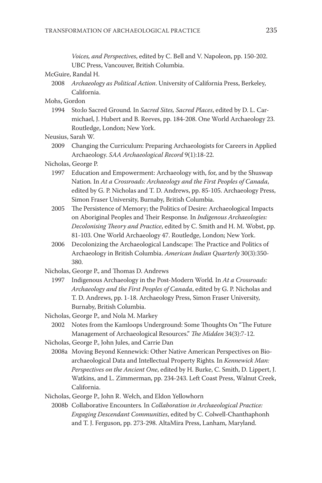Voices, and Perspectives, edited by C. Bell and V. Napoleon, pp. 150-202. UBC Press, Vancouver, British Columbia.

McGuire, Randal H.

- 2008 Archaeology as Political Action. University of California Press, Berkeley, California.
- Mohs, Gordon
	- 1994 Sto:lo Sacred Ground. In Sacred Sites, Sacred Places, edited by D. L. Carmichael, J. Hubert and B. Reeves, pp. 184-208. One World Archaeology 23. Routledge, London; New York.

Neusius, Sarah W.

2009 Changing the Curriculum: Preparing Archaeologists for Careers in Applied Archaeology. SAA Archaeological Record 9(1):18-22.

Nicholas, George P.

- 1997 Education and Empowerment: Archaeology with, for, and by the Shuswap Nation. In At a Crossroads: Archaeology and the First Peoples of Canada, edited by G. P. Nicholas and T. D. Andrews, pp. 85-105. Archaeology Press, Simon Fraser University, Burnaby, British Columbia.
- 2005 The Persistence of Memory; the Politics of Desire: Archaeological Impacts on Aboriginal Peoples and Their Response. In Indigenous Archaeologies: Decolonising Theory and Practice, edited by C. Smith and H. M. Wobst, pp. 81-103. One World Archaeology 47. Routledge, London; New York.
- 2006 Decolonizing the Archaeological Landscape: The Practice and Politics of Archaeology in British Columbia. American Indian Quarterly 30(3):350- 380.
- Nicholas, George P., and Thomas D. Andrews
	- 1997 Indigenous Archaeology in the Post-Modern World. In At a Crossroads: Archaeology and the First Peoples of Canada, edited by G. P. Nicholas and T. D. Andrews, pp. 1-18. Archaeology Press, Simon Fraser University, Burnaby, British Columbia.

Nicholas, George P., and Nola M. Markey

- 2002 Notes from the Kamloops Underground: Some Thoughts On "The Future" Management of Archaeological Resources." The Midden 34(3):7-12.
- Nicholas, George P., John Jules, and Carrie Dan
	- 2008a Moving Beyond Kennewick: Other Native American Perspectives on Bioarchaeological Data and Intellectual Property Rights. In Kennewick Man: Perspectives on the Ancient One, edited by H. Burke, C. Smith, D. Lippert, J. Watkins, and L. Zimmerman, pp. 234-243. Left Coast Press, Walnut Creek, California.

Nicholas, George P., John R. Welch, and Eldon Yellowhorn

2008b Collaborative Encounters. In Collaboration in Archaeological Practice: Engaging Descendant Communities, edited by C. Colwell-Chanthaphonh and T. J. Ferguson, pp. 273-298. AltaMira Press, Lanham, Maryland.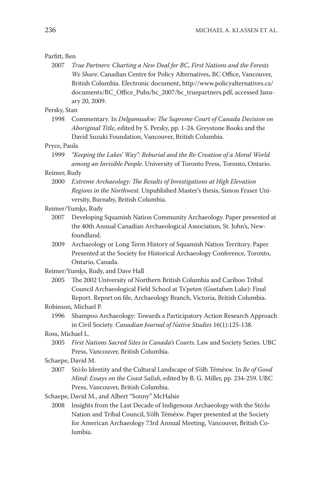#### Parfitt, Ben

2007 True Partners: Charting a New Deal for BC, First Nations and the Forests We Share. Canadian Centre for Policy Alternatives, BC Office, Vancouver, British Columbia. Electronic document, http://www.policyalternatives.ca/ documents/BC\_Office\_Pubs/bc\_2007/bc\_truepartners.pdf, accessed January 20, 2009.

#### Persky, Stan

1998 Commentary. In Delgamuukw: The Supreme Court of Canada Decision on Aboriginal Title, edited by S. Persky, pp. 1-24. Greystone Books and the David Suzuki Foundation, Vancouver, British Columbia.

#### Pryce, Paula

1999 "Keeping the Lakes' Way": Reburial and the Re-Creation of a Moral World among an Invisible People. University of Toronto Press, Toronto, Ontario.

#### Reimer, Rudy

- 2000 Extreme Archaeology: The Results of Investigations at High Elevation Regions in the Northwest. Unpublished Master's thesis, Simon Fraser University, Burnaby, British Columbia.
- Reimer/Yumks, Rudy
	- 2007 Developing Squamish Nation Community Archaeology. Paper presented at the 40th Annual Canadian Archaeological Association, St. John's, Newfoundland.
	- 2009 Archaeology or Long Term History of Squamish Nation Territory. Paper Presented at the Society for Historical Archaeology Conference, Toronto, Ontario, Canada.
- Reimer/Yumks, Rudy, and Dave Hall
	- 2005 The 2002 University of Northern British Columbia and Cariboo Tribal Council Archaeological Field School at Ts'peten (Gustafsen Lake): Final Report. Report on file, Archaeology Branch, Victoria, British Columbia.

#### Robinson, Michael P.

1996 Shampoo Archaeology: Towards a Participatory Action Research Approach in Civil Society. Canadian Journal of Native Studies 16(1):125-138.

#### Ross, Michael L.

- 2005 First Nations Sacred Sites in Canada's Courts. Law and Society Series. UBC Press, Vancouver, British Columbia.
- Schaepe, David M.
	- 2007 Stó:lo Identity and the Cultural Landscape of S'ólh Téméxw. In Be of Good Mind: Essays on the Coast Salish, edited by B. G. Miller, pp. 234-259. UBC Press, Vancouver, British Columbia.

Schaepe, David M., and Albert "Sonny" McHalsie

2008 Insights from the Last Decade of Indigenous Archaeology with the Stó:lo Nation and Tribal Council, S'ólh Téméxw. Paper presented at the Society for American Archaeology 73rd Annual Meeting, Vancouver, British Columbia.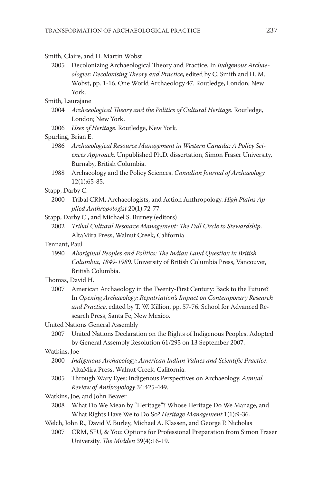#### Smith, Claire, and H. Martin Wobst

2005 Decolonizing Archaeological Theory and Practice. In Indigenous Archaeologies: Decolonising Theory and Practice, edited by C. Smith and H. M. Wobst, pp. 1-16. One World Archaeology 47. Routledge, London; New York.

#### Smith, Laurajane

- 2004 Archaeological Theory and the Politics of Cultural Heritage. Routledge, London; New York.
- 2006 Uses of Heritage. Routledge, New York.

#### Spurling, Brian E.

- 1986 Archaeological Resource Management in Western Canada: A Policy Sciences Approach. Unpublished Ph.D. dissertation, Simon Fraser University, Burnaby, British Columbia.
- 1988 Archaeology and the Policy Sciences. Canadian Journal of Archaeology 12(1):65-85.

#### Stapp, Darby C.

2000 Tribal CRM, Archaeologists, and Action Anthropology. High Plains Applied Anthropologist 20(1):72-77.

Stapp, Darby C., and Michael S. Burney (editors)

2002 Tribal Cultural Resource Management: The Full Circle to Stewardship. AltaMira Press, Walnut Creek, California.

#### Tennant, Paul

1990 Aboriginal Peoples and Politics: The Indian Land Question in British Columbia, 1849-1989. University of British Columbia Press, Vancouver, British Columbia.

#### Thomas, David H.

2007 American Archaeology in the Twenty-First Century: Back to the Future? In Opening Archaeology: Repatriation's Impact on Contemporary Research and Practice, edited by T. W. Killion, pp. 57-76. School for Advanced Research Press, Santa Fe, New Mexico.

United Nations General Assembly

2007 United Nations Declaration on the Rights of Indigenous Peoples. Adopted by General Assembly Resolution 61/295 on 13 September 2007.

#### Watkins, Joe

- 2000 Indigenous Archaeology: American Indian Values and Scientific Practice. AltaMira Press, Walnut Creek, California.
- 2005 Through Wary Eyes: Indigenous Perspectives on Archaeology. Annual Review of Anthropology 34:425-449.
- Watkins, Joe, and John Beaver
	- 2008 What Do We Mean by "Heritage"? Whose Heritage Do We Manage, and What Rights Have We to Do So? Heritage Management 1(1):9-36.
- Welch, John R., David V. Burley, Michael A. Klassen, and George P. Nicholas
	- 2007 CRM, SFU, & You: Options for Professional Preparation from Simon Fraser University. The Midden 39(4):16-19.